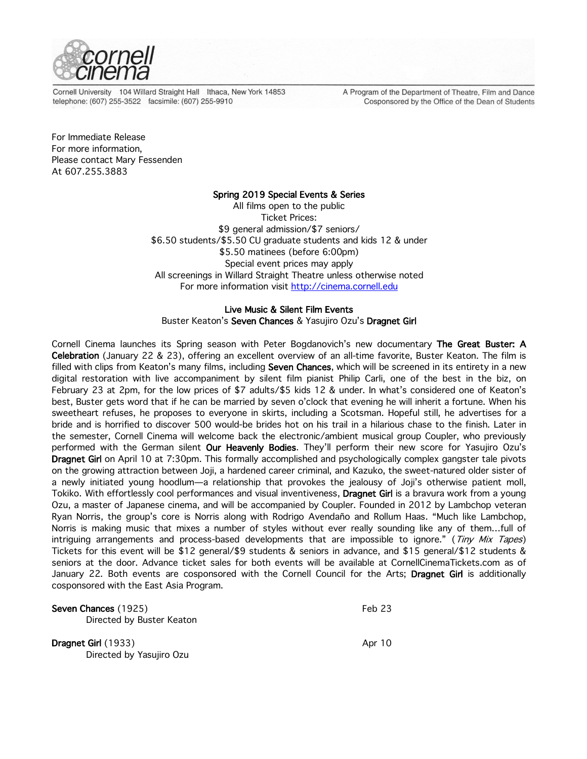

Cornell University 104 Willard Straight Hall Ithaca, New York 14853 telephone: (607) 255-3522 facsimile: (607) 255-9910

A Program of the Department of Theatre, Film and Dance Cosponsored by the Office of the Dean of Students

For Immediate Release For more information, Please contact Mary Fessenden At 607.255.3883

## Spring 2019 Special Events & Series

All films open to the public Ticket Prices: \$9 general admission/\$7 seniors/ \$6.50 students/\$5.50 CU graduate students and kids 12 & under \$5.50 matinees (before 6:00pm) Special event prices may apply All screenings in Willard Straight Theatre unless otherwise noted For more information visit http://cinema.cornell.edu

# Live Music & Silent Film Events

Buster Keaton's Seven Chances & Yasujiro Ozu's Dragnet Girl

Cornell Cinema launches its Spring season with Peter Bogdanovich's new documentary The Great Buster: A Celebration (January 22 & 23), offering an excellent overview of an all-time favorite, Buster Keaton. The film is filled with clips from Keaton's many films, including Seven Chances, which will be screened in its entirety in a new digital restoration with live accompaniment by silent film pianist Philip Carli, one of the best in the biz, on February 23 at 2pm, for the low prices of \$7 adults/\$5 kids 12 & under. In what's considered one of Keaton's best, Buster gets word that if he can be married by seven o'clock that evening he will inherit a fortune. When his sweetheart refuses, he proposes to everyone in skirts, including a Scotsman. Hopeful still, he advertises for a bride and is horrified to discover 500 would-be brides hot on his trail in a hilarious chase to the finish. Later in the semester, Cornell Cinema will welcome back the electronic/ambient musical group Coupler, who previously performed with the German silent Our Heavenly Bodies. They'll perform their new score for Yasujiro Ozu's Dragnet Girl on April 10 at 7:30pm. This formally accomplished and psychologically complex gangster tale pivots on the growing attraction between Joji, a hardened career criminal, and Kazuko, the sweet-natured older sister of a newly initiated young hoodlum—a relationship that provokes the jealousy of Joji's otherwise patient moll, Tokiko. With effortlessly cool performances and visual inventiveness, Dragnet Girl is a bravura work from a young Ozu, a master of Japanese cinema, and will be accompanied by Coupler. Founded in 2012 by Lambchop veteran Ryan Norris, the group's core is Norris along with Rodrigo Avendaño and Rollum Haas. "Much like Lambchop, Norris is making music that mixes a number of styles without ever really sounding like any of them…full of intriguing arrangements and process-based developments that are impossible to ignore." (Tiny Mix Tapes) Tickets for this event will be \$12 general/\$9 students & seniors in advance, and \$15 general/\$12 students & seniors at the door. Advance ticket sales for both events will be available at CornellCinemaTickets.com as of January 22. Both events are cosponsored with the Cornell Council for the Arts; Dragnet Girl is additionally cosponsored with the East Asia Program.

| Seven Chances (1925)       | Feb 23 |
|----------------------------|--------|
| Directed by Buster Keaton  |        |
| <b>Dragnet Girl</b> (1933) | Apr 10 |
| Directed by Yasujiro Ozu   |        |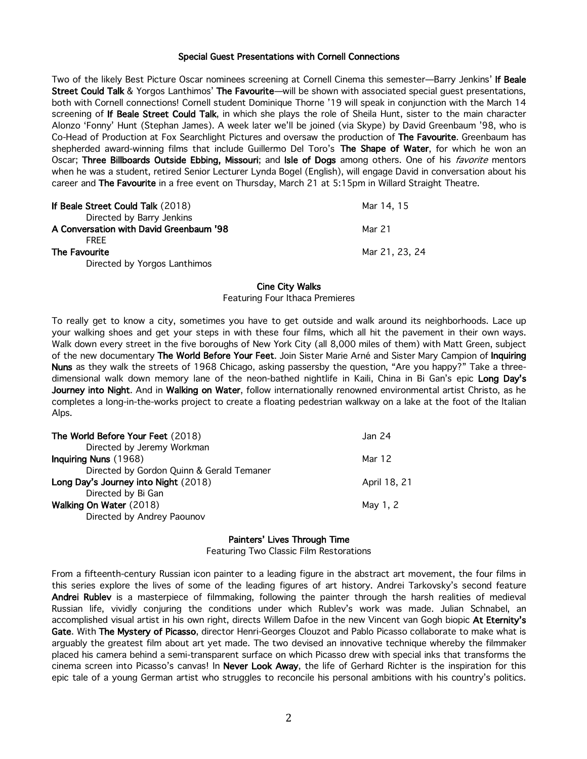## Special Guest Presentations with Cornell Connections

Two of the likely Best Picture Oscar nominees screening at Cornell Cinema this semester-Barry Jenkins' If Beale Street Could Talk & Yorgos Lanthimos' The Favourite—will be shown with associated special guest presentations, both with Cornell connections! Cornell student Dominique Thorne '19 will speak in conjunction with the March 14 screening of If Beale Street Could Talk, in which she plays the role of Sheila Hunt, sister to the main character Alonzo 'Fonny' Hunt (Stephan James). A week later we'll be joined (via Skype) by David Greenbaum '98, who is Co-Head of Production at Fox Searchlight Pictures and oversaw the production of The Favourite. Greenbaum has shepherded award-winning films that include Guillermo Del Toro's The Shape of Water, for which he won an Oscar; Three Billboards Outside Ebbing, Missouri; and Isle of Dogs among others. One of his favorite mentors when he was a student, retired Senior Lecturer Lynda Bogel (English), will engage David in conversation about his career and The Favourite in a free event on Thursday, March 21 at 5:15pm in Willard Straight Theatre.

| If Beale Street Could Talk (2018)       | Mar 14, 15     |
|-----------------------------------------|----------------|
| Directed by Barry Jenkins               |                |
| A Conversation with David Greenbaum '98 | Mar 21         |
| <b>FRFF</b>                             |                |
| <b>The Favourite</b>                    | Mar 21, 23, 24 |
| Directed by Yorgos Lanthimos            |                |

### Cine City Walks

Featuring Four Ithaca Premieres

To really get to know a city, sometimes you have to get outside and walk around its neighborhoods. Lace up your walking shoes and get your steps in with these four films, which all hit the pavement in their own ways. Walk down every street in the five boroughs of New York City (all 8,000 miles of them) with Matt Green, subject of the new documentary The World Before Your Feet. Join Sister Marie Arné and Sister Mary Campion of Inquiring Nuns as they walk the streets of 1968 Chicago, asking passersby the question, "Are you happy?" Take a threedimensional walk down memory lane of the neon-bathed nightlife in Kaili, China in Bi Gan's epic Long Day's Journey into Night. And in Walking on Water, follow internationally renowned environmental artist Christo, as he completes a long-in-the-works project to create a floating pedestrian walkway on a lake at the foot of the Italian Alps.

| The World Before Your Feet (2018)         | Jan 24       |
|-------------------------------------------|--------------|
| Directed by Jeremy Workman                |              |
| Inquiring Nuns (1968)                     | Mar 12       |
| Directed by Gordon Quinn & Gerald Temaner |              |
| Long Day's Journey into Night (2018)      | April 18, 21 |
| Directed by Bi Gan                        |              |
| Walking On Water (2018)                   | May 1, 2     |
| Directed by Andrey Paounov                |              |

## Painters' Lives Through Time

Featuring Two Classic Film Restorations

From a fifteenth-century Russian icon painter to a leading figure in the abstract art movement, the four films in this series explore the lives of some of the leading figures of art history. Andrei Tarkovsky's second feature Andrei Rublev is a masterpiece of filmmaking, following the painter through the harsh realities of medieval Russian life, vividly conjuring the conditions under which Rublev's work was made. Julian Schnabel, an accomplished visual artist in his own right, directs Willem Dafoe in the new Vincent van Gogh biopic At Eternity's Gate. With The Mystery of Picasso, director Henri-Georges Clouzot and Pablo Picasso collaborate to make what is arguably the greatest film about art yet made. The two devised an innovative technique whereby the filmmaker placed his camera behind a semi-transparent surface on which Picasso drew with special inks that transforms the cinema screen into Picasso's canvas! In Never Look Away, the life of Gerhard Richter is the inspiration for this epic tale of a young German artist who struggles to reconcile his personal ambitions with his country's politics.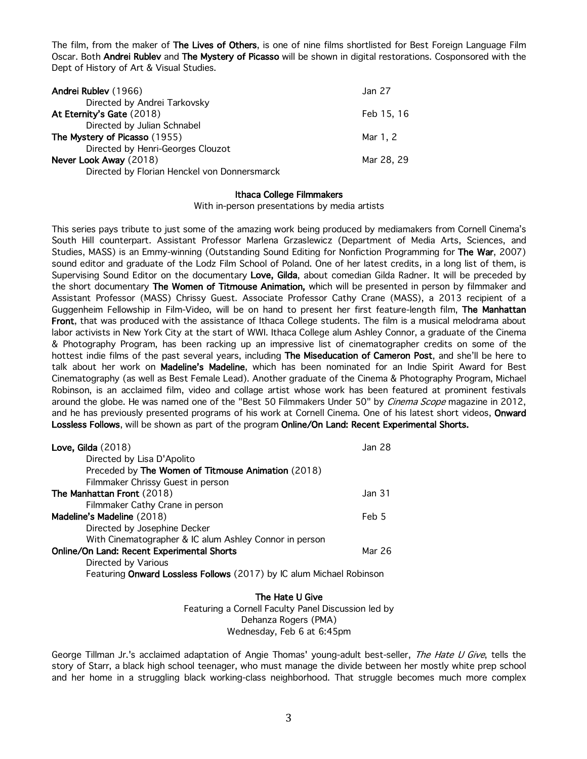The film, from the maker of The Lives of Others, is one of nine films shortlisted for Best Foreign Language Film Oscar. Both Andrei Rublev and The Mystery of Picasso will be shown in digital restorations. Cosponsored with the Dept of History of Art & Visual Studies.

| Andrei Rublev (1966)                         | Jan 27     |
|----------------------------------------------|------------|
| Directed by Andrei Tarkovsky                 |            |
| At Eternity's Gate (2018)                    | Feb 15, 16 |
| Directed by Julian Schnabel                  |            |
| The Mystery of Picasso (1955)                | Mar 1, 2   |
| Directed by Henri-Georges Clouzot            |            |
| Never Look Away (2018)                       | Mar 28, 29 |
| Directed by Florian Henckel von Donnersmarck |            |

## Ithaca College Filmmakers

With in-person presentations by media artists

This series pays tribute to just some of the amazing work being produced by mediamakers from Cornell Cinema's South Hill counterpart. Assistant Professor Marlena Grzaslewicz (Department of Media Arts, Sciences, and Studies, MASS) is an Emmy-winning (Outstanding Sound Editing for Nonfiction Programming for The War, 2007) sound editor and graduate of the Lodz Film School of Poland. One of her latest credits, in a long list of them, is Supervising Sound Editor on the documentary Love, Gilda, about comedian Gilda Radner. It will be preceded by the short documentary The Women of Titmouse Animation, which will be presented in person by filmmaker and Assistant Professor (MASS) Chrissy Guest. Associate Professor Cathy Crane (MASS), a 2013 recipient of a Guggenheim Fellowship in Film-Video, will be on hand to present her first feature-length film, The Manhattan Front, that was produced with the assistance of Ithaca College students. The film is a musical melodrama about labor activists in New York City at the start of WWI. Ithaca College alum Ashley Connor, a graduate of the Cinema & Photography Program, has been racking up an impressive list of cinematographer credits on some of the hottest indie films of the past several years, including The Miseducation of Cameron Post, and she'll be here to talk about her work on Madeline's Madeline, which has been nominated for an Indie Spirit Award for Best Cinematography (as well as Best Female Lead). Another graduate of the Cinema & Photography Program, Michael Robinson, is an acclaimed film, video and collage artist whose work has been featured at prominent festivals around the globe. He was named one of the "Best 50 Filmmakers Under 50" by *Cinema Scope* magazine in 2012, and he has previously presented programs of his work at Cornell Cinema. One of his latest short videos, Onward Lossless Follows, will be shown as part of the program Online/On Land: Recent Experimental Shorts.

| Love, Gilda $(2018)$                                                 | Jan 28 |
|----------------------------------------------------------------------|--------|
| Directed by Lisa D'Apolito                                           |        |
| Preceded by The Women of Titmouse Animation (2018)                   |        |
| Filmmaker Chrissy Guest in person                                    |        |
| The Manhattan Front (2018)                                           | Jan 31 |
| Filmmaker Cathy Crane in person                                      |        |
| Madeline's Madeline (2018)                                           | Feb 5  |
| Directed by Josephine Decker                                         |        |
| With Cinematographer & IC alum Ashley Connor in person               |        |
| Online/On Land: Recent Experimental Shorts                           | Mar 26 |
| Directed by Various                                                  |        |
| Featuring Onward Lossless Follows (2017) by IC alum Michael Robinson |        |

The Hate U Give

Featuring a Cornell Faculty Panel Discussion led by Dehanza Rogers (PMA) Wednesday, Feb 6 at 6:45pm

George Tillman Jr.'s acclaimed adaptation of Angie Thomas' young-adult best-seller, The Hate U Give, tells the story of Starr, a black high school teenager, who must manage the divide between her mostly white prep school and her home in a struggling black working-class neighborhood. That struggle becomes much more complex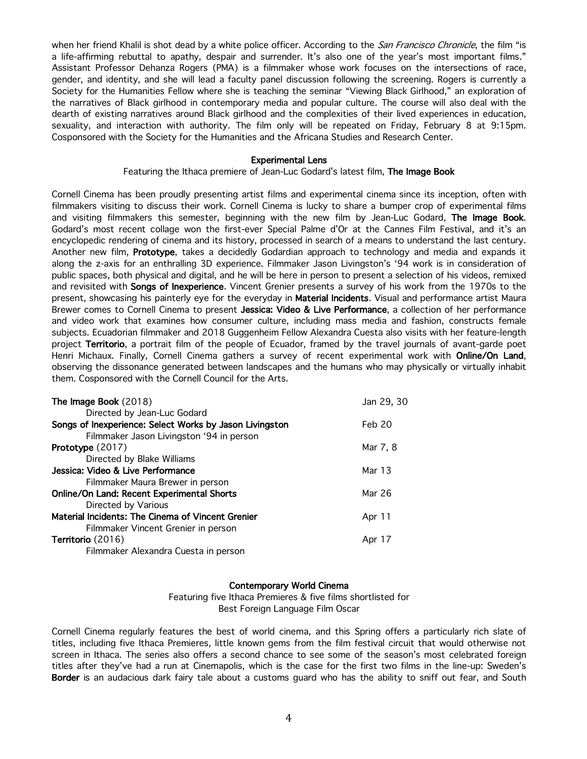when her friend Khalil is shot dead by a white police officer. According to the *San Francisco Chronicle*, the film "is a life-affirming rebuttal to apathy, despair and surrender. It's also one of the year's most important films." Assistant Professor Dehanza Rogers (PMA) is a filmmaker whose work focuses on the intersections of race, gender, and identity, and she will lead a faculty panel discussion following the screening. Rogers is currently a Society for the Humanities Fellow where she is teaching the seminar "Viewing Black Girlhood," an exploration of the narratives of Black girlhood in contemporary media and popular culture. The course will also deal with the dearth of existing narratives around Black girlhood and the complexities of their lived experiences in education, sexuality, and interaction with authority. The film only will be repeated on Friday, February 8 at 9:15pm. Cosponsored with the Society for the Humanities and the Africana Studies and Research Center.

## Experimental Lens

## Featuring the Ithaca premiere of Jean-Luc Godard's latest film, The Image Book

Cornell Cinema has been proudly presenting artist films and experimental cinema since its inception, often with filmmakers visiting to discuss their work. Cornell Cinema is lucky to share a bumper crop of experimental films and visiting filmmakers this semester, beginning with the new film by Jean-Luc Godard, The Image Book. Godard's most recent collage won the first-ever Special Palme d'Or at the Cannes Film Festival, and it's an encyclopedic rendering of cinema and its history, processed in search of a means to understand the last century. Another new film, Prototype, takes a decidedly Godardian approach to technology and media and expands it along the z-axis for an enthralling 3D experience. Filmmaker Jason Livingston's '94 work is in consideration of public spaces, both physical and digital, and he will be here in person to present a selection of his videos, remixed and revisited with Songs of Inexperience. Vincent Grenier presents a survey of his work from the 1970s to the present, showcasing his painterly eye for the everyday in Material Incidents. Visual and performance artist Maura Brewer comes to Cornell Cinema to present Jessica: Video & Live Performance, a collection of her performance and video work that examines how consumer culture, including mass media and fashion, constructs female subjects. Ecuadorian filmmaker and 2018 Guggenheim Fellow Alexandra Cuesta also visits with her feature-length project Territorio, a portrait film of the people of Ecuador, framed by the travel journals of avant-garde poet Henri Michaux. Finally, Cornell Cinema gathers a survey of recent experimental work with Online/On Land, observing the dissonance generated between landscapes and the humans who may physically or virtually inhabit them. Cosponsored with the Cornell Council for the Arts.

| The Image Book (2018)                                   | Jan 29, 30 |
|---------------------------------------------------------|------------|
| Directed by Jean-Luc Godard                             |            |
| Songs of Inexperience: Select Works by Jason Livingston | Feb 20     |
| Filmmaker Jason Livingston '94 in person                |            |
| <b>Prototype</b> (2017)                                 | Mar 7, 8   |
| Directed by Blake Williams                              |            |
| Jessica: Video & Live Performance                       | Mar 13     |
| Filmmaker Maura Brewer in person                        |            |
| <b>Online/On Land: Recent Experimental Shorts</b>       | Mar 26     |
| Directed by Various                                     |            |
| Material Incidents: The Cinema of Vincent Grenier       | Apr 11     |
| Filmmaker Vincent Grenier in person                     |            |
| <b>Territorio</b> (2016)                                | Apr 17     |
| Filmmaker Alexandra Cuesta in person                    |            |
|                                                         |            |

### Contemporary World Cinema

Featuring five Ithaca Premieres & five films shortlisted for Best Foreign Language Film Oscar

Cornell Cinema regularly features the best of world cinema, and this Spring offers a particularly rich slate of titles, including five Ithaca Premieres, little known gems from the film festival circuit that would otherwise not screen in Ithaca. The series also offers a second chance to see some of the season's most celebrated foreign titles after they've had a run at Cinemapolis, which is the case for the first two films in the line-up: Sweden's Border is an audacious dark fairy tale about a customs guard who has the ability to sniff out fear, and South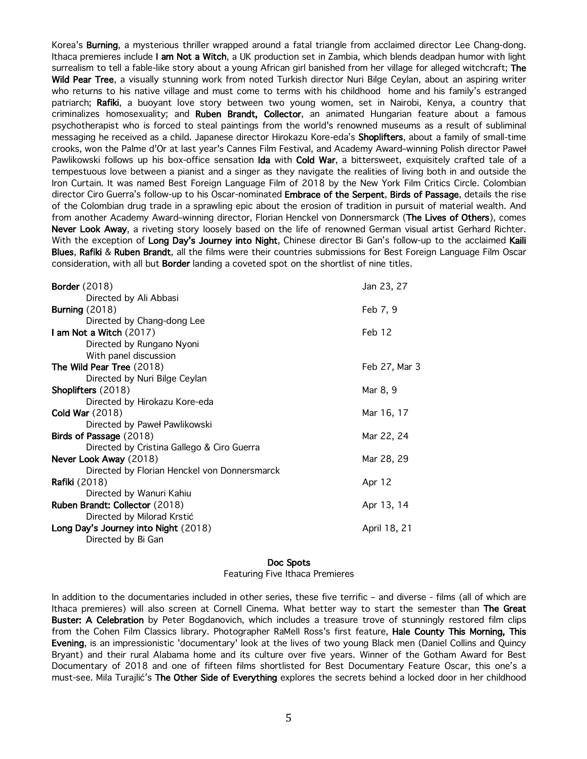Korea's Burning, a mysterious thriller wrapped around a fatal triangle from acclaimed director Lee Chang-dong. Ithaca premieres include I am Not a Witch, a UK production set in Zambia, which blends deadpan humor with light surrealism to tell a fable-like story about a young African girl banished from her village for alleged witchcraft; The Wild Pear Tree, a visually stunning work from noted Turkish director Nuri Bilge Ceylan, about an aspiring writer who returns to his native village and must come to terms with his childhood home and his family's estranged patriarch; Rafiki, a buoyant love story between two young women, set in Nairobi, Kenya, a country that criminalizes homosexuality; and Ruben Brandt, Collector, an animated Hungarian feature about a famous psychotherapist who is forced to steal paintings from the world's renowned museums as a result of subliminal messaging he received as a child. Japanese director Hirokazu Kore-eda's Shoplifters, about a family of small-time crooks, won the Palme d'Or at last year's Cannes Film Festival, and Academy Award–winning Polish director Paweł Pawlikowski follows up his box-office sensation Ida with Cold War, a bittersweet, exquisitely crafted tale of a tempestuous love between a pianist and a singer as they navigate the realities of living both in and outside the Iron Curtain. It was named Best Foreign Language Film of 2018 by the New York Film Critics Circle. Colombian director Ciro Guerra's follow-up to his Oscar-nominated Embrace of the Serpent, Birds of Passage, details the rise of the Colombian drug trade in a sprawling epic about the erosion of tradition in pursuit of material wealth. And from another Academy Award–winning director, Florian Henckel von Donnersmarck (The Lives of Others), comes Never Look Away, a riveting story loosely based on the life of renowned German visual artist Gerhard Richter. With the exception of Long Day's Journey into Night, Chinese director Bi Gan's follow-up to the acclaimed Kaili Blues, Rafiki & Ruben Brandt, all the films were their countries submissions for Best Foreign Language Film Oscar consideration, with all but Border landing a coveted spot on the shortlist of nine titles.

| <b>Border</b> (2018)                         | Jan 23, 27    |
|----------------------------------------------|---------------|
| Directed by Ali Abbasi                       |               |
| Burning $(2018)$                             | Feb 7, 9      |
| Directed by Chang-dong Lee                   |               |
| I am Not a Witch (2017)                      | Feb 12        |
| Directed by Rungano Nyoni                    |               |
| With panel discussion                        |               |
| The Wild Pear Tree (2018)                    | Feb 27, Mar 3 |
| Directed by Nuri Bilge Ceylan                |               |
| Shoplifters (2018)                           | Mar 8, 9      |
| Directed by Hirokazu Kore-eda                |               |
| <b>Cold War (2018)</b>                       | Mar 16, 17    |
| Directed by Paweł Pawlikowski                |               |
| Birds of Passage (2018)                      | Mar 22, 24    |
| Directed by Cristina Gallego & Ciro Guerra   |               |
| Never Look Away (2018)                       | Mar 28, 29    |
| Directed by Florian Henckel von Donnersmarck |               |
| <b>Rafiki</b> (2018)                         | Apr 12        |
| Directed by Wanuri Kahiu                     |               |
| Ruben Brandt: Collector (2018)               | Apr 13, 14    |
| Directed by Milorad Krstić                   |               |
| Long Day's Journey into Night (2018)         | April 18, 21  |
| Directed by Bi Gan                           |               |

#### Doc Spots

Featuring Five Ithaca Premieres

In addition to the documentaries included in other series, these five terrific – and diverse - films (all of which are Ithaca premieres) will also screen at Cornell Cinema. What better way to start the semester than The Great Buster: A Celebration by Peter Bogdanovich, which includes a treasure trove of stunningly restored film clips from the Cohen Film Classics library. Photographer RaMell Ross's first feature, Hale County This Morning, This Evening, is an impressionistic 'documentary' look at the lives of two young Black men (Daniel Collins and Quincy Bryant) and their rural Alabama home and its culture over five years. Winner of the Gotham Award for Best Documentary of 2018 and one of fifteen films shortlisted for Best Documentary Feature Oscar, this one's a must-see. Mila Turajlić's The Other Side of Everything explores the secrets behind a locked door in her childhood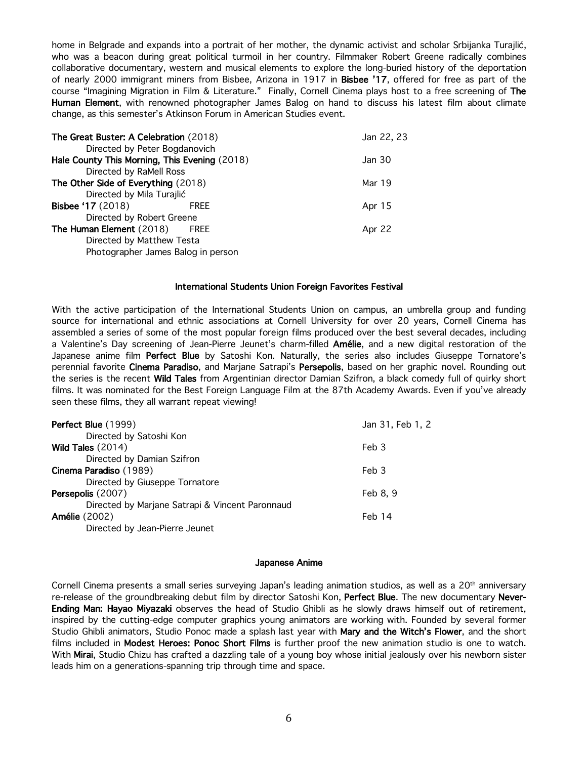home in Belgrade and expands into a portrait of her mother, the dynamic activist and scholar Srbijanka Turajlić, who was a beacon during great political turmoil in her country. Filmmaker Robert Greene radically combines collaborative documentary, western and musical elements to explore the long-buried history of the deportation of nearly 2000 immigrant miners from Bisbee, Arizona in 1917 in Bisbee '17, offered for free as part of the course "Imagining Migration in Film & Literature." Finally, Cornell Cinema plays host to a free screening of The Human Element, with renowned photographer James Balog on hand to discuss his latest film about climate change, as this semester's Atkinson Forum in American Studies event.

| The Great Buster: A Celebration (2018)        |             | Jan 22, 23 |
|-----------------------------------------------|-------------|------------|
| Directed by Peter Bogdanovich                 |             |            |
| Hale County This Morning, This Evening (2018) |             | Jan 30     |
| Directed by RaMell Ross                       |             |            |
| The Other Side of Everything (2018)           |             | Mar 19     |
| Directed by Mila Turajlić                     |             |            |
| <b>Bisbee '17 (2018)</b>                      | <b>FREE</b> | Apr 15     |
| Directed by Robert Greene                     |             |            |
| The Human Element (2018)                      | FREE        | Apr 22     |
| Directed by Matthew Testa                     |             |            |
| Photographer James Balog in person            |             |            |

### International Students Union Foreign Favorites Festival

With the active participation of the International Students Union on campus, an umbrella group and funding source for international and ethnic associations at Cornell University for over 20 years, Cornell Cinema has assembled a series of some of the most popular foreign films produced over the best several decades, including a Valentine's Day screening of Jean-Pierre Jeunet's charm-filled Amélie, and a new digital restoration of the Japanese anime film Perfect Blue by Satoshi Kon. Naturally, the series also includes Giuseppe Tornatore's perennial favorite Cinema Paradiso, and Marjane Satrapi's Persepolis, based on her graphic novel. Rounding out the series is the recent Wild Tales from Argentinian director Damian Szifron, a black comedy full of quirky short films. It was nominated for the Best Foreign Language Film at the 87th Academy Awards. Even if you've already seen these films, they all warrant repeat viewing!

| Perfect Blue (1999)                             | Jan 31, Feb 1, 2   |
|-------------------------------------------------|--------------------|
| Directed by Satoshi Kon                         |                    |
| Wild Tales $(2014)$                             | Feb 3              |
| Directed by Damian Szifron                      |                    |
| Cinema Paradiso (1989)                          | Feb 3              |
| Directed by Giuseppe Tornatore                  |                    |
| Persepolis (2007)                               | Feb 8, 9           |
| Directed by Marjane Satrapi & Vincent Paronnaud |                    |
| <b>Amélie</b> (2002)                            | Fe <sub>b</sub> 14 |
| Directed by Jean-Pierre Jeunet                  |                    |
|                                                 |                    |

### Japanese Anime

Cornell Cinema presents a small series surveying Japan's leading animation studios, as well as a 20th anniversary re-release of the groundbreaking debut film by director Satoshi Kon, Perfect Blue. The new documentary Never-Ending Man: Hayao Miyazaki observes the head of Studio Ghibli as he slowly draws himself out of retirement, inspired by the cutting-edge computer graphics young animators are working with. Founded by several former Studio Ghibli animators, Studio Ponoc made a splash last year with Mary and the Witch's Flower, and the short films included in Modest Heroes: Ponoc Short Films is further proof the new animation studio is one to watch. With Mirai, Studio Chizu has crafted a dazzling tale of a young boy whose initial jealously over his newborn sister leads him on a generations-spanning trip through time and space.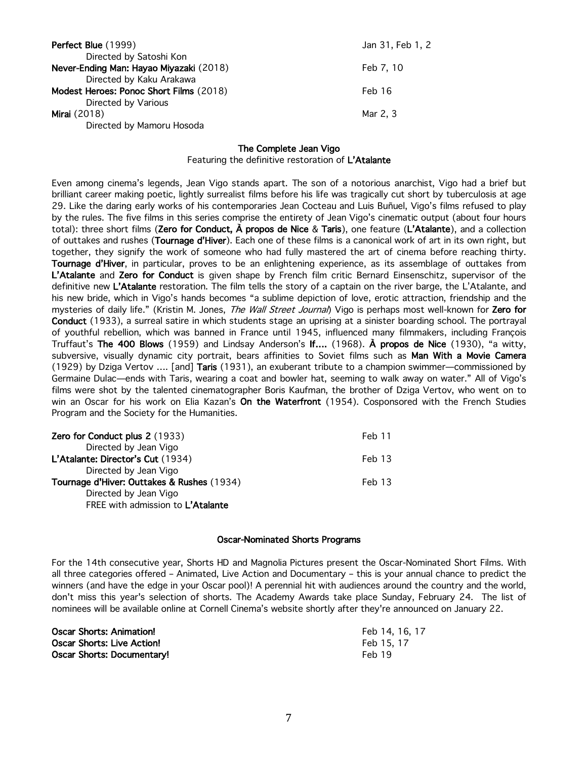| Perfect Blue (1999)                     | Jan 31, Feb 1, 2 |
|-----------------------------------------|------------------|
| Directed by Satoshi Kon                 |                  |
| Never-Ending Man: Hayao Miyazaki (2018) | Feb 7, 10        |
| Directed by Kaku Arakawa                |                  |
| Modest Heroes: Ponoc Short Films (2018) | Feb 16           |
| Directed by Various                     |                  |
| <b>Mirai</b> (2018)                     | Mar 2, 3         |
| Directed by Mamoru Hosoda               |                  |

## The Complete Jean Vigo

Featuring the definitive restoration of L'Atalante

Even among cinema's legends, Jean Vigo stands apart. The son of a notorious anarchist, Vigo had a brief but brilliant career making poetic, lightly surrealist films before his life was tragically cut short by tuberculosis at age 29. Like the daring early works of his contemporaries Jean Cocteau and Luis Buñuel, Vigo's films refused to play by the rules. The five films in this series comprise the entirety of Jean Vigo's cinematic output (about four hours total): three short films (Zero for Conduct, À propos de Nice & Taris), one feature (L'Atalante), and a collection of outtakes and rushes (Tournage d'Hiver). Each one of these films is a canonical work of art in its own right, but together, they signify the work of someone who had fully mastered the art of cinema before reaching thirty. Tournage d'Hiver, in particular, proves to be an enlightening experience, as its assemblage of outtakes from L'Atalante and Zero for Conduct is given shape by French film critic Bernard Einsenschitz, supervisor of the definitive new L'Atalante restoration. The film tells the story of a captain on the river barge, the L'Atalante, and his new bride, which in Vigo's hands becomes "a sublime depiction of love, erotic attraction, friendship and the mysteries of daily life." (Kristin M. Jones, The Wall Street Journal) Vigo is perhaps most well-known for Zero for Conduct (1933), a surreal satire in which students stage an uprising at a sinister boarding school. The portrayal of youthful rebellion, which was banned in France until 1945, influenced many filmmakers, including François Truffaut's The 400 Blows (1959) and Lindsay Anderson's If.... (1968). À propos de Nice (1930), "a witty, subversive, visually dynamic city portrait, bears affinities to Soviet films such as Man With a Movie Camera (1929) by Dziga Vertov …. [and] Taris (1931), an exuberant tribute to a champion swimmer—commissioned by Germaine Dulac—ends with Taris, wearing a coat and bowler hat, seeming to walk away on water." All of Vigo's films were shot by the talented cinematographer Boris Kaufman, the brother of Dziga Vertov, who went on to win an Oscar for his work on Elia Kazan's On the Waterfront (1954). Cosponsored with the French Studies Program and the Society for the Humanities.

| Zero for Conduct plus 2 (1933)<br>Feb 11             |  |
|------------------------------------------------------|--|
| Directed by Jean Vigo                                |  |
| L'Atalante: Director's Cut (1934)<br>Feb 13          |  |
| Directed by Jean Vigo                                |  |
| Tournage d'Hiver: Outtakes & Rushes (1934)<br>Feb 13 |  |
| Directed by Jean Vigo                                |  |
| FREE with admission to L'Atalante                    |  |

### Oscar-Nominated Shorts Programs

For the 14th consecutive year, Shorts HD and Magnolia Pictures present the Oscar-Nominated Short Films. With all three categories offered – Animated, Live Action and Documentary – this is your annual chance to predict the winners (and have the edge in your Oscar pool)! A perennial hit with audiences around the country and the world, don't miss this year's selection of shorts. The Academy Awards take place Sunday, February 24. The list of nominees will be available online at Cornell Cinema's website shortly after they're announced on January 22.

| Oscar Shorts: Animation!   | Feb 14, 16, 17 |
|----------------------------|----------------|
| Oscar Shorts: Live Action! | Feb 15, 17     |
| Oscar Shorts: Documentary! | Feb 19         |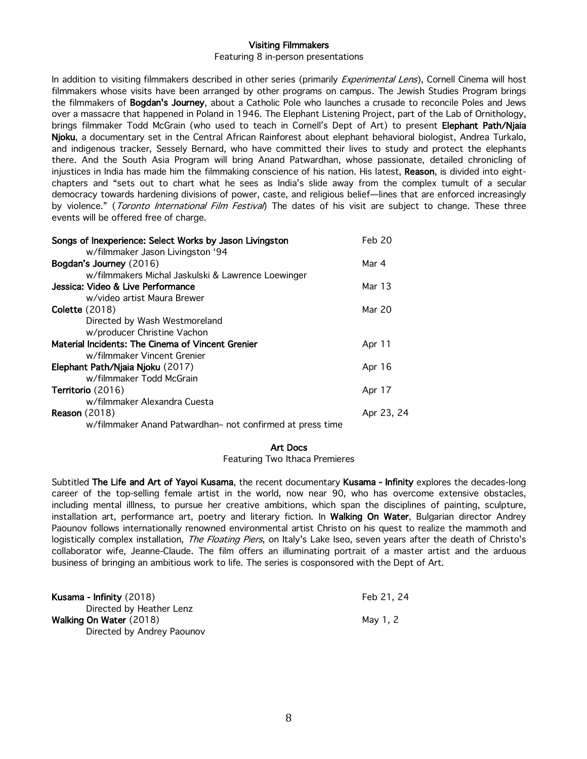## Visiting Filmmakers

### Featuring 8 in-person presentations

In addition to visiting filmmakers described in other series (primarily *Experimental Lens*), Cornell Cinema will host filmmakers whose visits have been arranged by other programs on campus. The Jewish Studies Program brings the filmmakers of Bogdan's Journey, about a Catholic Pole who launches a crusade to reconcile Poles and Jews over a massacre that happened in Poland in 1946. The Elephant Listening Project, part of the Lab of Ornithology, brings filmmaker Todd McGrain (who used to teach in Cornell's Dept of Art) to present Elephant Path/Njaia Njoku, a documentary set in the Central African Rainforest about elephant behavioral biologist, Andrea Turkalo, and indigenous tracker, Sessely Bernard, who have committed their lives to study and protect the elephants there. And the South Asia Program will bring Anand Patwardhan, whose passionate, detailed chronicling of injustices in India has made him the filmmaking conscience of his nation. His latest, Reason, is divided into eightchapters and "sets out to chart what he sees as India's slide away from the complex tumult of a secular democracy towards hardening divisions of power, caste, and religious belief—lines that are enforced increasingly by violence." (Toronto International Film Festival) The dates of his visit are subject to change. These three events will be offered free of charge.

| Songs of Inexperience: Select Works by Jason Livingston   | Feb 20     |
|-----------------------------------------------------------|------------|
| w/filmmaker Jason Livingston '94                          |            |
| Bogdan's Journey (2016)                                   | Mar 4      |
| w/filmmakers Michal Jaskulski & Lawrence Loewinger        |            |
| Jessica: Video & Live Performance                         | Mar 13     |
| w/video artist Maura Brewer                               |            |
| <b>Colette</b> (2018)                                     | Mar 20     |
| Directed by Wash Westmoreland                             |            |
| w/producer Christine Vachon                               |            |
| Material Incidents: The Cinema of Vincent Grenier         | Apr 11     |
| w/filmmaker Vincent Grenier                               |            |
| Elephant Path/Njaia Njoku (2017)                          | Apr 16     |
| w/filmmaker Todd McGrain                                  |            |
| <b>Territorio</b> (2016)                                  | Apr 17     |
| w/filmmaker Alexandra Cuesta                              |            |
| <b>Reason</b> (2018)                                      | Apr 23, 24 |
| w/filmmaker Anand Patwardhan- not confirmed at press time |            |
|                                                           |            |

## Art Docs

Featuring Two Ithaca Premieres

Subtitled The Life and Art of Yayoi Kusama, the recent documentary Kusama - Infinity explores the decades-long career of the top-selling female artist in the world, now near 90, who has overcome extensive obstacles, including mental illlness, to pursue her creative ambitions, which span the disciplines of painting, sculpture, installation art, performance art, poetry and literary fiction. In Walking On Water, Bulgarian director Andrey Paounov follows internationally renowned environmental artist Christo on his quest to realize the mammoth and logistically complex installation, *The Floating Piers*, on Italy's Lake Iseo, seven years after the death of Christo's collaborator wife, Jeanne-Claude. The film offers an illuminating portrait of a master artist and the arduous business of bringing an ambitious work to life. The series is cosponsored with the Dept of Art.

| <b>Kusama - Infinity</b> (2018) | Feb 21, 24 |
|---------------------------------|------------|
| Directed by Heather Lenz        |            |
| Walking On Water (2018)         | Mav 1.2    |
| Directed by Andrey Paounov      |            |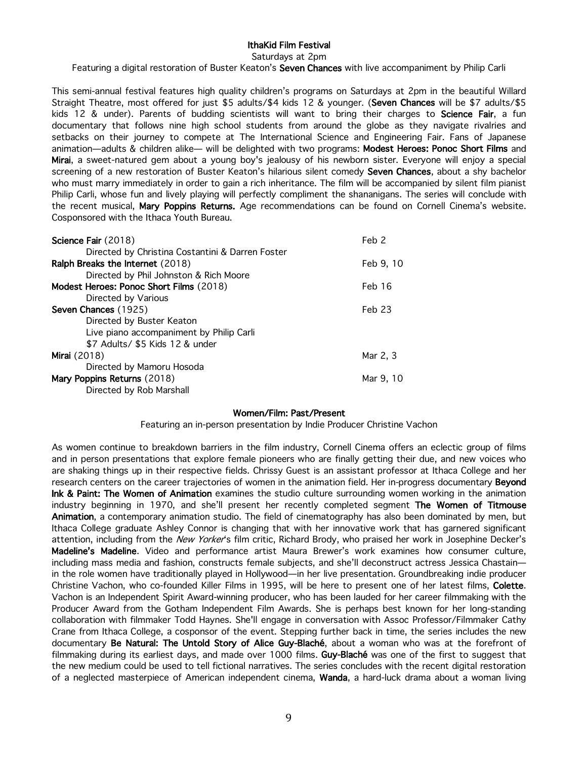# IthaKid Film Festival

Saturdays at 2pm

Featuring a digital restoration of Buster Keaton's Seven Chances with live accompaniment by Philip Carli

This semi-annual festival features high quality children's programs on Saturdays at 2pm in the beautiful Willard Straight Theatre, most offered for just \$5 adults/\$4 kids 12 & younger. (Seven Chances will be \$7 adults/\$5 kids 12 & under). Parents of budding scientists will want to bring their charges to Science Fair, a fun documentary that follows nine high school students from around the globe as they navigate rivalries and setbacks on their journey to compete at The International Science and Engineering Fair. Fans of Japanese animation—adults & children alike— will be delighted with two programs: Modest Heroes: Ponoc Short Films and Mirai, a sweet-natured gem about a young boy's jealousy of his newborn sister. Everyone will enjoy a special screening of a new restoration of Buster Keaton's hilarious silent comedy Seven Chances, about a shy bachelor who must marry immediately in order to gain a rich inheritance. The film will be accompanied by silent film pianist Philip Carli, whose fun and lively playing will perfectly compliment the shananigans. The series will conclude with the recent musical, Mary Poppins Returns. Age recommendations can be found on Cornell Cinema's website. Cosponsored with the Ithaca Youth Bureau.

| Science Fair (2018)                              | Feb 2     |
|--------------------------------------------------|-----------|
| Directed by Christina Costantini & Darren Foster |           |
| Ralph Breaks the Internet (2018)                 | Feb 9, 10 |
| Directed by Phil Johnston & Rich Moore           |           |
| Modest Heroes: Ponoc Short Films (2018)          | Feb 16    |
| Directed by Various                              |           |
| Seven Chances (1925)                             | Feb 23    |
| Directed by Buster Keaton                        |           |
| Live piano accompaniment by Philip Carli         |           |
| \$7 Adults/ \$5 Kids 12 & under                  |           |
| <b>Mirai</b> (2018)                              | Mar 2, 3  |
| Directed by Mamoru Hosoda                        |           |
| Mary Poppins Returns (2018)                      | Mar 9, 10 |
| Directed by Rob Marshall                         |           |

## Women/Film: Past/Present

Featuring an in-person presentation by Indie Producer Christine Vachon

As women continue to breakdown barriers in the film industry, Cornell Cinema offers an eclectic group of films and in person presentations that explore female pioneers who are finally getting their due, and new voices who are shaking things up in their respective fields. Chrissy Guest is an assistant professor at Ithaca College and her research centers on the career trajectories of women in the animation field. Her in-progress documentary Beyond Ink & Paint: The Women of Animation examines the studio culture surrounding women working in the animation industry beginning in 1970, and she'll present her recently completed segment The Women of Titmouse Animation, a contemporary animation studio. The field of cinematography has also been dominated by men, but Ithaca College graduate Ashley Connor is changing that with her innovative work that has garnered significant attention, including from the New Yorker's film critic, Richard Brody, who praised her work in Josephine Decker's Madeline's Madeline. Video and performance artist Maura Brewer's work examines how consumer culture, including mass media and fashion, constructs female subjects, and she'll deconstruct actress Jessica Chastain in the role women have traditionally played in Hollywood—in her live presentation. Groundbreaking indie producer Christine Vachon, who co-founded Killer Films in 1995, will be here to present one of her latest films, Colette. Vachon is an Independent Spirit Award-winning producer, who has been lauded for her career filmmaking with the Producer Award from the Gotham Independent Film Awards. She is perhaps best known for her long-standing collaboration with filmmaker Todd Haynes. She'll engage in conversation with Assoc Professor/Filmmaker Cathy Crane from Ithaca College, a cosponsor of the event. Stepping further back in time, the series includes the new documentary Be Natural: The Untold Story of Alice Guy-Blaché, about a woman who was at the forefront of filmmaking during its earliest days, and made over 1000 films. Guy-Blaché was one of the first to suggest that the new medium could be used to tell fictional narratives. The series concludes with the recent digital restoration of a neglected masterpiece of American independent cinema, Wanda, a hard-luck drama about a woman living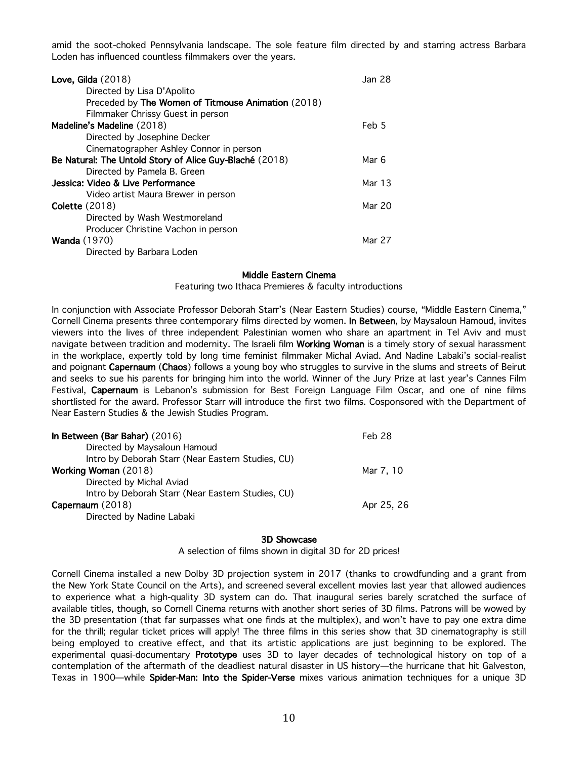amid the soot-choked Pennsylvania landscape. The sole feature film directed by and starring actress Barbara Loden has influenced countless filmmakers over the years.

| Love, Gilda $(2018)$                                    | <b>Jan 28</b> |
|---------------------------------------------------------|---------------|
| Directed by Lisa D'Apolito                              |               |
| Preceded by The Women of Titmouse Animation (2018)      |               |
| Filmmaker Chrissy Guest in person                       |               |
| Madeline's Madeline (2018)                              | Feb 5         |
| Directed by Josephine Decker                            |               |
| Cinematographer Ashley Connor in person                 |               |
| Be Natural: The Untold Story of Alice Guy-Blaché (2018) | Mar 6         |
| Directed by Pamela B. Green                             |               |
| Jessica: Video & Live Performance                       | Mar 13        |
| Video artist Maura Brewer in person                     |               |
| <b>Colette</b> (2018)                                   | Mar 20        |
| Directed by Wash Westmoreland                           |               |
| Producer Christine Vachon in person                     |               |
| <b>Wanda</b> (1970)                                     | Mar 27        |
| Directed by Barbara Loden                               |               |

## Middle Eastern Cinema

Featuring two Ithaca Premieres & faculty introductions

In conjunction with Associate Professor Deborah Starr's (Near Eastern Studies) course, "Middle Eastern Cinema," Cornell Cinema presents three contemporary films directed by women. In Between, by Maysaloun Hamoud, invites viewers into the lives of three independent Palestinian women who share an apartment in Tel Aviv and must navigate between tradition and modernity. The Israeli film Working Woman is a timely story of sexual harassment in the workplace, expertly told by long time feminist filmmaker Michal Aviad. And Nadine Labaki's social-realist and poignant Capernaum (Chaos) follows a young boy who struggles to survive in the slums and streets of Beirut and seeks to sue his parents for bringing him into the world. Winner of the Jury Prize at last year's Cannes Film Festival, Capernaum is Lebanon's submission for Best Foreign Language Film Oscar, and one of nine films shortlisted for the award. Professor Starr will introduce the first two films. Cosponsored with the Department of Near Eastern Studies & the Jewish Studies Program.

| In Between (Bar Bahar) (2016)                     | Feb 28     |
|---------------------------------------------------|------------|
| Directed by Maysaloun Hamoud                      |            |
| Intro by Deborah Starr (Near Eastern Studies, CU) |            |
| Working Woman (2018)                              | Mar 7, 10  |
| Directed by Michal Aviad                          |            |
| Intro by Deborah Starr (Near Eastern Studies, CU) |            |
| Capernaum (2018)                                  | Apr 25, 26 |
| Directed by Nadine Labaki                         |            |

#### 3D Showcase

A selection of films shown in digital 3D for 2D prices!

Cornell Cinema installed a new Dolby 3D projection system in 2017 (thanks to crowdfunding and a grant from the New York State Council on the Arts), and screened several excellent movies last year that allowed audiences to experience what a high-quality 3D system can do. That inaugural series barely scratched the surface of available titles, though, so Cornell Cinema returns with another short series of 3D films. Patrons will be wowed by the 3D presentation (that far surpasses what one finds at the multiplex), and won't have to pay one extra dime for the thrill; regular ticket prices will apply! The three films in this series show that 3D cinematography is still being employed to creative effect, and that its artistic applications are just beginning to be explored. The experimental quasi-documentary Prototype uses 3D to layer decades of technological history on top of a contemplation of the aftermath of the deadliest natural disaster in US history—the hurricane that hit Galveston, Texas in 1900—while Spider-Man: Into the Spider-Verse mixes various animation techniques for a unique 3D